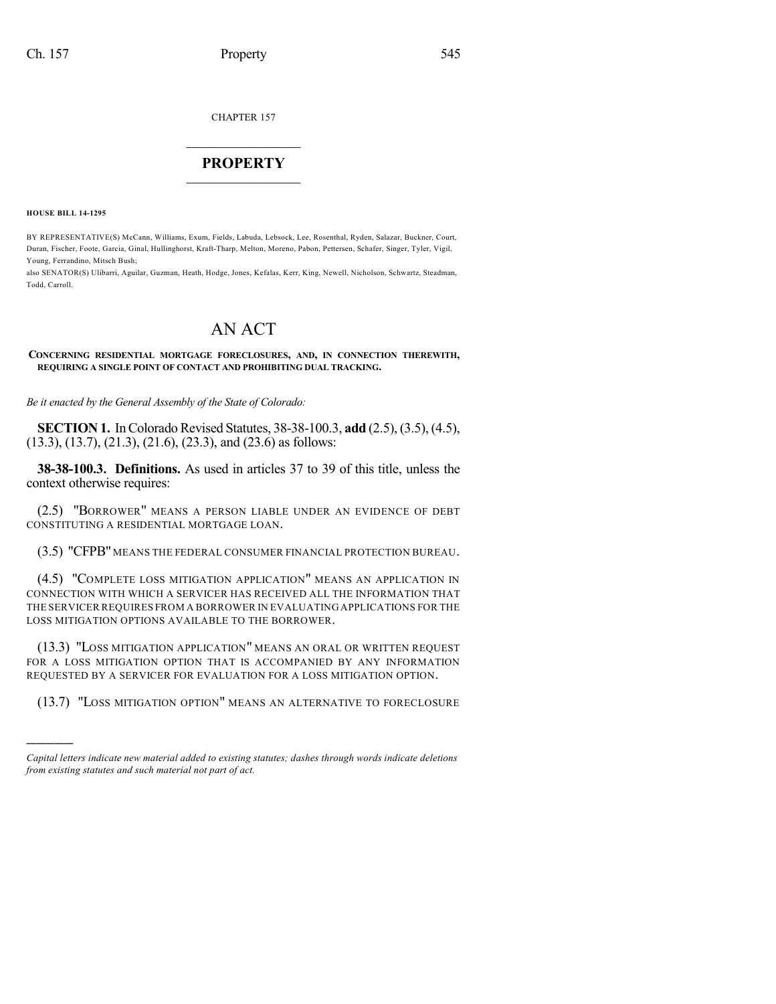CHAPTER 157

## $\overline{\phantom{a}}$  . The set of the set of the set of the set of the set of the set of the set of the set of the set of the set of the set of the set of the set of the set of the set of the set of the set of the set of the set o **PROPERTY**  $\_$   $\_$   $\_$   $\_$   $\_$   $\_$   $\_$   $\_$   $\_$

**HOUSE BILL 14-1295**

)))))

BY REPRESENTATIVE(S) McCann, Williams, Exum, Fields, Labuda, Lebsock, Lee, Rosenthal, Ryden, Salazar, Buckner, Court, Duran, Fischer, Foote, Garcia, Ginal, Hullinghorst, Kraft-Tharp, Melton, Moreno, Pabon, Pettersen, Schafer, Singer, Tyler, Vigil, Young, Ferrandino, Mitsch Bush;

also SENATOR(S) Ulibarri, Aguilar, Guzman, Heath, Hodge, Jones, Kefalas, Kerr, King, Newell, Nicholson, Schwartz, Steadman, Todd, Carroll.

# AN ACT

**CONCERNING RESIDENTIAL MORTGAGE FORECLOSURES, AND, IN CONNECTION THEREWITH, REQUIRING A SINGLE POINT OF CONTACT AND PROHIBITING DUAL TRACKING.**

*Be it enacted by the General Assembly of the State of Colorado:*

**SECTION 1.** In Colorado Revised Statutes, 38-38-100.3, **add** (2.5), (3.5), (4.5), (13.3), (13.7), (21.3), (21.6), (23.3), and (23.6) as follows:

**38-38-100.3. Definitions.** As used in articles 37 to 39 of this title, unless the context otherwise requires:

(2.5) "BORROWER" MEANS A PERSON LIABLE UNDER AN EVIDENCE OF DEBT CONSTITUTING A RESIDENTIAL MORTGAGE LOAN.

(3.5) "CFPB" MEANS THE FEDERAL CONSUMER FINANCIAL PROTECTION BUREAU.

(4.5) "COMPLETE LOSS MITIGATION APPLICATION" MEANS AN APPLICATION IN CONNECTION WITH WHICH A SERVICER HAS RECEIVED ALL THE INFORMATION THAT THE SERVICER REQUIRES FROM A BORROWER IN EVALUATING APPLICATIONS FOR THE LOSS MITIGATION OPTIONS AVAILABLE TO THE BORROWER.

(13.3) "LOSS MITIGATION APPLICATION" MEANS AN ORAL OR WRITTEN REQUEST FOR A LOSS MITIGATION OPTION THAT IS ACCOMPANIED BY ANY INFORMATION REQUESTED BY A SERVICER FOR EVALUATION FOR A LOSS MITIGATION OPTION.

(13.7) "LOSS MITIGATION OPTION" MEANS AN ALTERNATIVE TO FORECLOSURE

*Capital letters indicate new material added to existing statutes; dashes through words indicate deletions from existing statutes and such material not part of act.*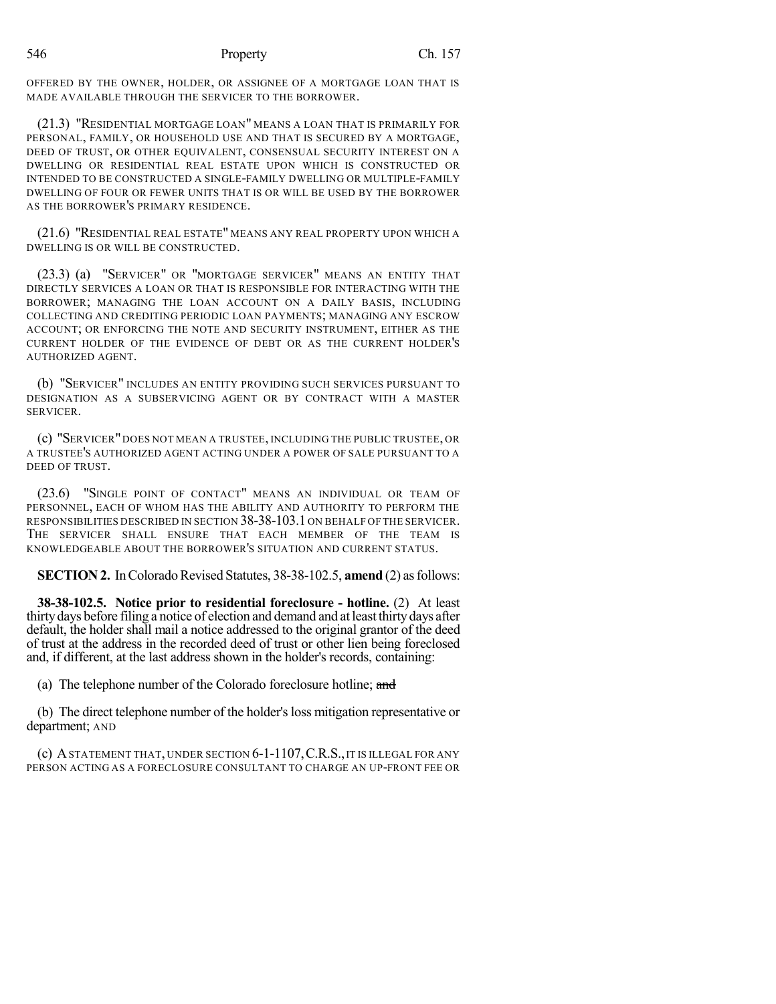OFFERED BY THE OWNER, HOLDER, OR ASSIGNEE OF A MORTGAGE LOAN THAT IS MADE AVAILABLE THROUGH THE SERVICER TO THE BORROWER.

(21.3) "RESIDENTIAL MORTGAGE LOAN" MEANS A LOAN THAT IS PRIMARILY FOR PERSONAL, FAMILY, OR HOUSEHOLD USE AND THAT IS SECURED BY A MORTGAGE, DEED OF TRUST, OR OTHER EQUIVALENT, CONSENSUAL SECURITY INTEREST ON A DWELLING OR RESIDENTIAL REAL ESTATE UPON WHICH IS CONSTRUCTED OR INTENDED TO BE CONSTRUCTED A SINGLE-FAMILY DWELLING OR MULTIPLE-FAMILY DWELLING OF FOUR OR FEWER UNITS THAT IS OR WILL BE USED BY THE BORROWER AS THE BORROWER'S PRIMARY RESIDENCE.

(21.6) "RESIDENTIAL REAL ESTATE" MEANS ANY REAL PROPERTY UPON WHICH A DWELLING IS OR WILL BE CONSTRUCTED.

(23.3) (a) "SERVICER" OR "MORTGAGE SERVICER" MEANS AN ENTITY THAT DIRECTLY SERVICES A LOAN OR THAT IS RESPONSIBLE FOR INTERACTING WITH THE BORROWER; MANAGING THE LOAN ACCOUNT ON A DAILY BASIS, INCLUDING COLLECTING AND CREDITING PERIODIC LOAN PAYMENTS; MANAGING ANY ESCROW ACCOUNT; OR ENFORCING THE NOTE AND SECURITY INSTRUMENT, EITHER AS THE CURRENT HOLDER OF THE EVIDENCE OF DEBT OR AS THE CURRENT HOLDER'S AUTHORIZED AGENT.

(b) "SERVICER" INCLUDES AN ENTITY PROVIDING SUCH SERVICES PURSUANT TO DESIGNATION AS A SUBSERVICING AGENT OR BY CONTRACT WITH A MASTER SERVICER.

(c) "SERVICER"DOES NOT MEAN A TRUSTEE, INCLUDING THE PUBLIC TRUSTEE, OR A TRUSTEE'S AUTHORIZED AGENT ACTING UNDER A POWER OF SALE PURSUANT TO A DEED OF TRUST.

(23.6) "SINGLE POINT OF CONTACT" MEANS AN INDIVIDUAL OR TEAM OF PERSONNEL, EACH OF WHOM HAS THE ABILITY AND AUTHORITY TO PERFORM THE RESPONSIBILITIES DESCRIBED IN SECTION 38-38-103.1 ON BEHALF OF THE SERVICER. THE SERVICER SHALL ENSURE THAT EACH MEMBER OF THE TEAM IS KNOWLEDGEABLE ABOUT THE BORROWER'S SITUATION AND CURRENT STATUS.

**SECTION 2.** In Colorado Revised Statutes, 38-38-102.5, **amend** (2) as follows:

**38-38-102.5. Notice prior to residential foreclosure - hotline.** (2) At least thirtydays before filing a notice of election and demand and at least thirtydays after default, the holder shall mail a notice addressed to the original grantor of the deed of trust at the address in the recorded deed of trust or other lien being foreclosed and, if different, at the last address shown in the holder's records, containing:

(a) The telephone number of the Colorado foreclosure hotline; and

(b) The direct telephone number of the holder'sloss mitigation representative or department; AND

(c) ASTATEMENT THAT, UNDER SECTION 6-1-1107,C.R.S.,IT IS ILLEGAL FOR ANY PERSON ACTING AS A FORECLOSURE CONSULTANT TO CHARGE AN UP-FRONT FEE OR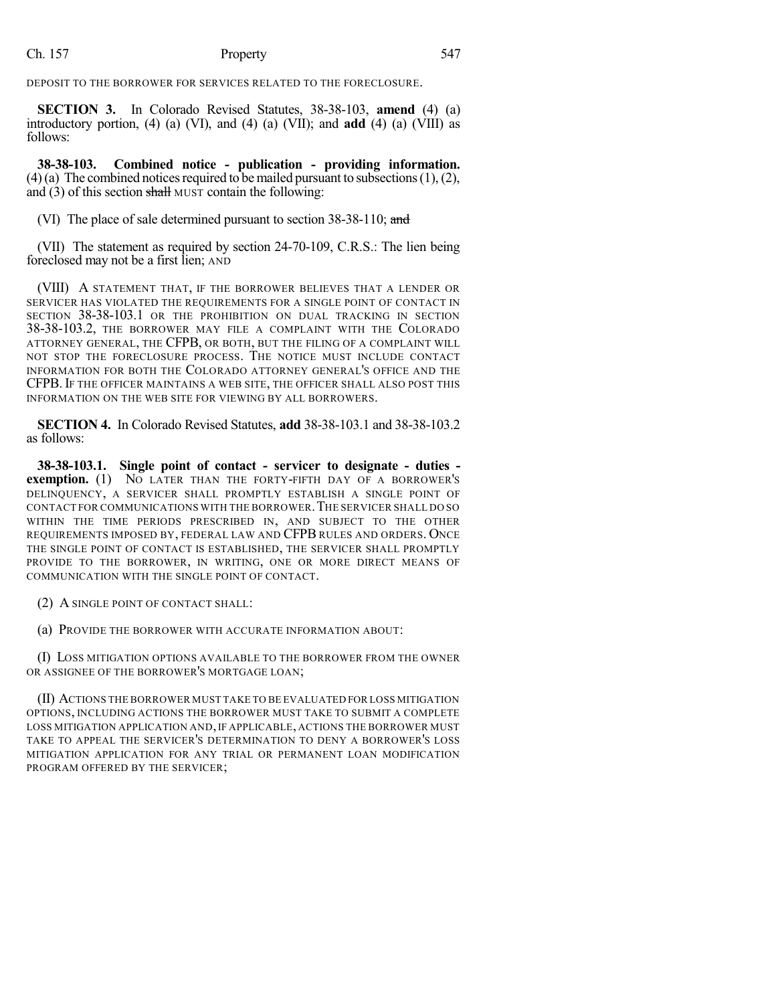### Ch. 157 Property 547

DEPOSIT TO THE BORROWER FOR SERVICES RELATED TO THE FORECLOSURE.

**SECTION 3.** In Colorado Revised Statutes, 38-38-103, **amend** (4) (a) introductory portion, (4) (a) (VI), and (4) (a) (VII); and **add** (4) (a) (VIII) as follows:

**38-38-103. Combined notice - publication - providing information.** (4)(a) The combined notices required to be mailed pursuant to subsections  $(1), (2),$ and (3) of this section shall MUST contain the following:

(VI) The place of sale determined pursuant to section 38-38-110; and

(VII) The statement as required by section 24-70-109, C.R.S.: The lien being foreclosed may not be a first lien; AND

(VIII) A STATEMENT THAT, IF THE BORROWER BELIEVES THAT A LENDER OR SERVICER HAS VIOLATED THE REQUIREMENTS FOR A SINGLE POINT OF CONTACT IN SECTION 38-38-103.1 OR THE PROHIBITION ON DUAL TRACKING IN SECTION 38-38-103.2, THE BORROWER MAY FILE A COMPLAINT WITH THE COLORADO ATTORNEY GENERAL, THE CFPB, OR BOTH, BUT THE FILING OF A COMPLAINT WILL NOT STOP THE FORECLOSURE PROCESS. THE NOTICE MUST INCLUDE CONTACT INFORMATION FOR BOTH THE COLORADO ATTORNEY GENERAL'S OFFICE AND THE CFPB. IF THE OFFICER MAINTAINS A WEB SITE, THE OFFICER SHALL ALSO POST THIS INFORMATION ON THE WEB SITE FOR VIEWING BY ALL BORROWERS.

**SECTION 4.** In Colorado Revised Statutes, **add** 38-38-103.1 and 38-38-103.2 as follows:

**38-38-103.1. Single point of contact - servicer to designate - duties exemption.** (1) NO LATER THAN THE FORTY-FIFTH DAY OF A BORROWER'S DELINQUENCY, A SERVICER SHALL PROMPTLY ESTABLISH A SINGLE POINT OF CONTACT FOR COMMUNICATIONS WITH THE BORROWER.THE SERVICER SHALL DO SO WITHIN THE TIME PERIODS PRESCRIBED IN, AND SUBJECT TO THE OTHER REQUIREMENTS IMPOSED BY, FEDERAL LAW AND CFPB RULES AND ORDERS. ONCE THE SINGLE POINT OF CONTACT IS ESTABLISHED, THE SERVICER SHALL PROMPTLY PROVIDE TO THE BORROWER, IN WRITING, ONE OR MORE DIRECT MEANS OF COMMUNICATION WITH THE SINGLE POINT OF CONTACT.

(2) A SINGLE POINT OF CONTACT SHALL:

(a) PROVIDE THE BORROWER WITH ACCURATE INFORMATION ABOUT:

(I) LOSS MITIGATION OPTIONS AVAILABLE TO THE BORROWER FROM THE OWNER OR ASSIGNEE OF THE BORROWER'S MORTGAGE LOAN;

(II) ACTIONS THE BORROWER MUST TAKE TO BE EVALUATED FOR LOSS MITIGATION OPTIONS, INCLUDING ACTIONS THE BORROWER MUST TAKE TO SUBMIT A COMPLETE LOSS MITIGATION APPLICATION AND, IF APPLICABLE, ACTIONS THE BORROWER MUST TAKE TO APPEAL THE SERVICER'S DETERMINATION TO DENY A BORROWER'S LOSS MITIGATION APPLICATION FOR ANY TRIAL OR PERMANENT LOAN MODIFICATION PROGRAM OFFERED BY THE SERVICER;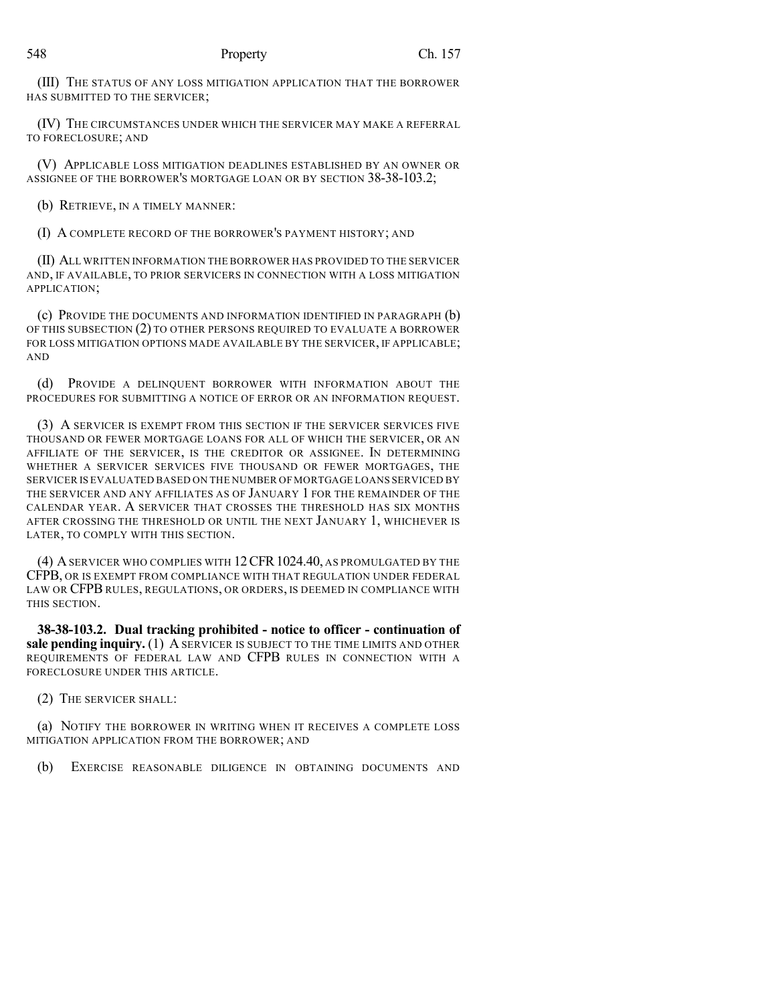(III) THE STATUS OF ANY LOSS MITIGATION APPLICATION THAT THE BORROWER HAS SUBMITTED TO THE SERVICER;

(IV) THE CIRCUMSTANCES UNDER WHICH THE SERVICER MAY MAKE A REFERRAL TO FORECLOSURE; AND

(V) APPLICABLE LOSS MITIGATION DEADLINES ESTABLISHED BY AN OWNER OR ASSIGNEE OF THE BORROWER'S MORTGAGE LOAN OR BY SECTION 38-38-103.2;

(b) RETRIEVE, IN A TIMELY MANNER:

(I) A COMPLETE RECORD OF THE BORROWER'S PAYMENT HISTORY; AND

(II) ALL WRITTEN INFORMATION THE BORROWER HAS PROVIDED TO THE SERVICER AND, IF AVAILABLE, TO PRIOR SERVICERS IN CONNECTION WITH A LOSS MITIGATION APPLICATION;

(c) PROVIDE THE DOCUMENTS AND INFORMATION IDENTIFIED IN PARAGRAPH (b) OF THIS SUBSECTION (2) TO OTHER PERSONS REQUIRED TO EVALUATE A BORROWER FOR LOSS MITIGATION OPTIONS MADE AVAILABLE BY THE SERVICER, IF APPLICABLE; AND

(d) PROVIDE A DELINQUENT BORROWER WITH INFORMATION ABOUT THE PROCEDURES FOR SUBMITTING A NOTICE OF ERROR OR AN INFORMATION REQUEST.

(3) A SERVICER IS EXEMPT FROM THIS SECTION IF THE SERVICER SERVICES FIVE THOUSAND OR FEWER MORTGAGE LOANS FOR ALL OF WHICH THE SERVICER, OR AN AFFILIATE OF THE SERVICER, IS THE CREDITOR OR ASSIGNEE. IN DETERMINING WHETHER A SERVICER SERVICES FIVE THOUSAND OR FEWER MORTGAGES, THE SERVICER IS EVALUATED BASED ON THE NUMBER OF MORTGAGE LOANS SERVICED BY THE SERVICER AND ANY AFFILIATES AS OF JANUARY 1 FOR THE REMAINDER OF THE CALENDAR YEAR. A SERVICER THAT CROSSES THE THRESHOLD HAS SIX MONTHS AFTER CROSSING THE THRESHOLD OR UNTIL THE NEXT JANUARY 1, WHICHEVER IS LATER, TO COMPLY WITH THIS SECTION.

(4) ASERVICER WHO COMPLIES WITH 12CFR1024.40, AS PROMULGATED BY THE CFPB, OR IS EXEMPT FROM COMPLIANCE WITH THAT REGULATION UNDER FEDERAL LAW OR CFPB RULES, REGULATIONS, OR ORDERS, IS DEEMED IN COMPLIANCE WITH THIS SECTION.

**38-38-103.2. Dual tracking prohibited - notice to officer - continuation of sale pending inquiry.** (1) A SERVICER IS SUBJECT TO THE TIME LIMITS AND OTHER REQUIREMENTS OF FEDERAL LAW AND CFPB RULES IN CONNECTION WITH A FORECLOSURE UNDER THIS ARTICLE.

(2) THE SERVICER SHALL:

(a) NOTIFY THE BORROWER IN WRITING WHEN IT RECEIVES A COMPLETE LOSS MITIGATION APPLICATION FROM THE BORROWER; AND

(b) EXERCISE REASONABLE DILIGENCE IN OBTAINING DOCUMENTS AND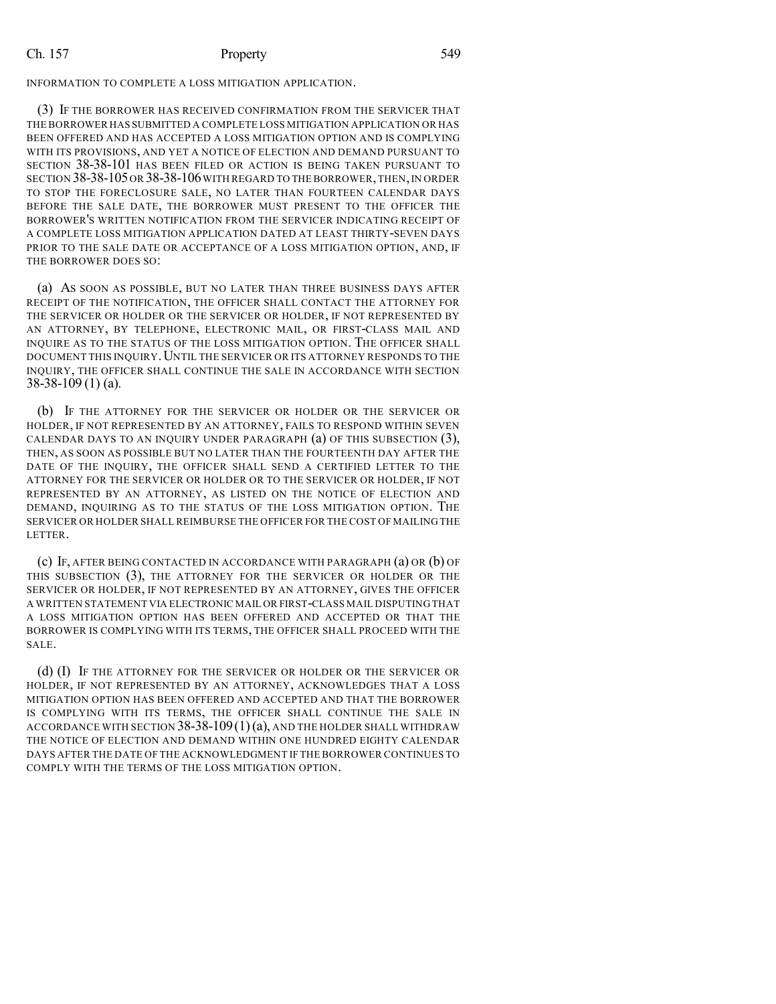### Ch. 157 Property 549

INFORMATION TO COMPLETE A LOSS MITIGATION APPLICATION.

(3) IF THE BORROWER HAS RECEIVED CONFIRMATION FROM THE SERVICER THAT THE BORROWER HAS SUBMITTED A COMPLETE LOSS MITIGATION APPLICATION OR HAS BEEN OFFERED AND HAS ACCEPTED A LOSS MITIGATION OPTION AND IS COMPLYING WITH ITS PROVISIONS, AND YET A NOTICE OF ELECTION AND DEMAND PURSUANT TO SECTION 38-38-101 HAS BEEN FILED OR ACTION IS BEING TAKEN PURSUANT TO SECTION 38-38-105OR 38-38-106WITH REGARD TO THEBORROWER,THEN,IN ORDER TO STOP THE FORECLOSURE SALE, NO LATER THAN FOURTEEN CALENDAR DAYS BEFORE THE SALE DATE, THE BORROWER MUST PRESENT TO THE OFFICER THE BORROWER'S WRITTEN NOTIFICATION FROM THE SERVICER INDICATING RECEIPT OF A COMPLETE LOSS MITIGATION APPLICATION DATED AT LEAST THIRTY-SEVEN DAYS PRIOR TO THE SALE DATE OR ACCEPTANCE OF A LOSS MITIGATION OPTION, AND, IF THE BORROWER DOES SO:

(a) AS SOON AS POSSIBLE, BUT NO LATER THAN THREE BUSINESS DAYS AFTER RECEIPT OF THE NOTIFICATION, THE OFFICER SHALL CONTACT THE ATTORNEY FOR THE SERVICER OR HOLDER OR THE SERVICER OR HOLDER, IF NOT REPRESENTED BY AN ATTORNEY, BY TELEPHONE, ELECTRONIC MAIL, OR FIRST-CLASS MAIL AND INQUIRE AS TO THE STATUS OF THE LOSS MITIGATION OPTION. THE OFFICER SHALL DOCUMENT THIS INQUIRY. UNTIL THE SERVICER OR ITS ATTORNEY RESPONDS TO THE INQUIRY, THE OFFICER SHALL CONTINUE THE SALE IN ACCORDANCE WITH SECTION 38-38-109 (1) (a).

(b) IF THE ATTORNEY FOR THE SERVICER OR HOLDER OR THE SERVICER OR HOLDER, IF NOT REPRESENTED BY AN ATTORNEY, FAILS TO RESPOND WITHIN SEVEN CALENDAR DAYS TO AN INQUIRY UNDER PARAGRAPH (a) OF THIS SUBSECTION (3), THEN, AS SOON AS POSSIBLE BUT NO LATER THAN THE FOURTEENTH DAY AFTER THE DATE OF THE INQUIRY, THE OFFICER SHALL SEND A CERTIFIED LETTER TO THE ATTORNEY FOR THE SERVICER OR HOLDER OR TO THE SERVICER OR HOLDER, IF NOT REPRESENTED BY AN ATTORNEY, AS LISTED ON THE NOTICE OF ELECTION AND DEMAND, INQUIRING AS TO THE STATUS OF THE LOSS MITIGATION OPTION. THE SERVICER OR HOLDER SHALL REIMBURSE THE OFFICER FOR THE COST OF MAILING THE LETTER.

(c) IF, AFTER BEING CONTACTED IN ACCORDANCE WITH PARAGRAPH (a) OR (b) OF THIS SUBSECTION (3), THE ATTORNEY FOR THE SERVICER OR HOLDER OR THE SERVICER OR HOLDER, IF NOT REPRESENTED BY AN ATTORNEY, GIVES THE OFFICER A WRITTEN STATEMENT VIA ELECTRONIC MAIL OR FIRST-CLASS MAIL DISPUTING THAT A LOSS MITIGATION OPTION HAS BEEN OFFERED AND ACCEPTED OR THAT THE BORROWER IS COMPLYING WITH ITS TERMS, THE OFFICER SHALL PROCEED WITH THE SALE.

(d) (I) IF THE ATTORNEY FOR THE SERVICER OR HOLDER OR THE SERVICER OR HOLDER, IF NOT REPRESENTED BY AN ATTORNEY, ACKNOWLEDGES THAT A LOSS MITIGATION OPTION HAS BEEN OFFERED AND ACCEPTED AND THAT THE BORROWER IS COMPLYING WITH ITS TERMS, THE OFFICER SHALL CONTINUE THE SALE IN ACCORDANCE WITH SECTION  $38-38-109(1)(a)$ , AND THE HOLDER SHALL WITHDRAW THE NOTICE OF ELECTION AND DEMAND WITHIN ONE HUNDRED EIGHTY CALENDAR DAYS AFTER THE DATE OF THE ACKNOWLEDGMENT IF THE BORROWER CONTINUES TO COMPLY WITH THE TERMS OF THE LOSS MITIGATION OPTION.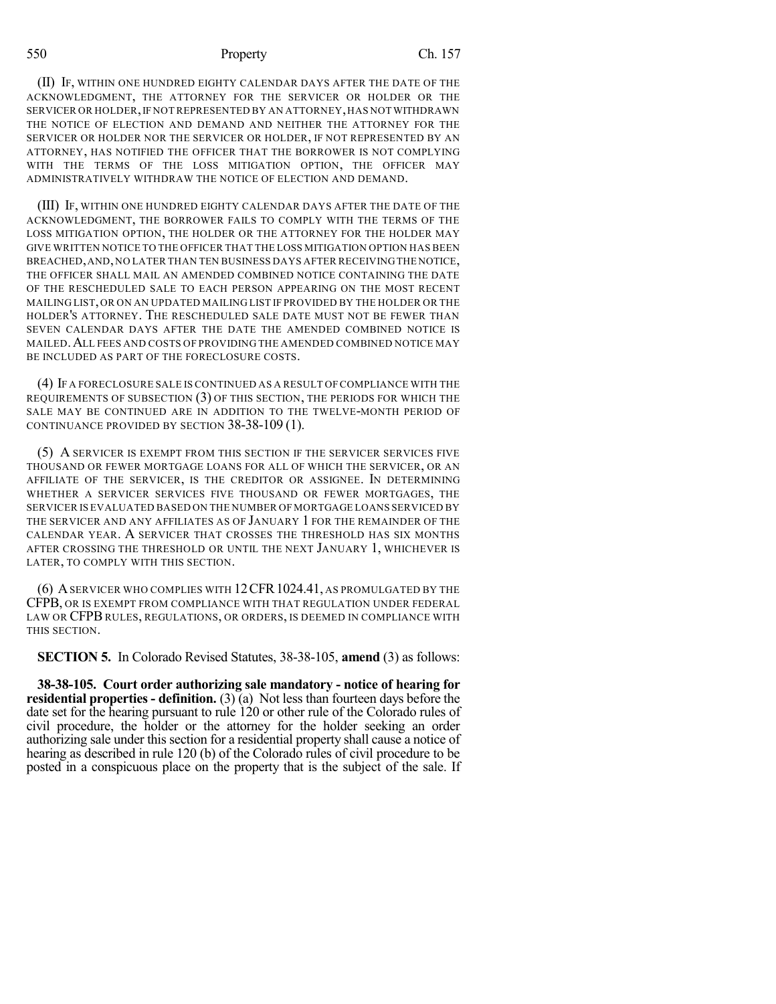#### 550 Property Ch. 157

(II) IF, WITHIN ONE HUNDRED EIGHTY CALENDAR DAYS AFTER THE DATE OF THE ACKNOWLEDGMENT, THE ATTORNEY FOR THE SERVICER OR HOLDER OR THE SERVICER OR HOLDER, IF NOT REPRESENTED BY AN ATTORNEY, HAS NOT WITHDRAWN THE NOTICE OF ELECTION AND DEMAND AND NEITHER THE ATTORNEY FOR THE SERVICER OR HOLDER NOR THE SERVICER OR HOLDER, IF NOT REPRESENTED BY AN ATTORNEY, HAS NOTIFIED THE OFFICER THAT THE BORROWER IS NOT COMPLYING WITH THE TERMS OF THE LOSS MITIGATION OPTION, THE OFFICER MAY ADMINISTRATIVELY WITHDRAW THE NOTICE OF ELECTION AND DEMAND.

(III) IF, WITHIN ONE HUNDRED EIGHTY CALENDAR DAYS AFTER THE DATE OF THE ACKNOWLEDGMENT, THE BORROWER FAILS TO COMPLY WITH THE TERMS OF THE LOSS MITIGATION OPTION, THE HOLDER OR THE ATTORNEY FOR THE HOLDER MAY GIVE WRITTEN NOTICE TO THE OFFICER THAT THE LOSS MITIGATION OPTION HAS BEEN BREACHED,AND,NO LATER THAN TEN BUSINESS DAYS AFTER RECEIVINGTHE NOTICE, THE OFFICER SHALL MAIL AN AMENDED COMBINED NOTICE CONTAINING THE DATE OF THE RESCHEDULED SALE TO EACH PERSON APPEARING ON THE MOST RECENT MAILING LIST,OR ON AN UPDATED MAILING LIST IF PROVIDED BY THE HOLDER OR THE HOLDER'S ATTORNEY. THE RESCHEDULED SALE DATE MUST NOT BE FEWER THAN SEVEN CALENDAR DAYS AFTER THE DATE THE AMENDED COMBINED NOTICE IS MAILED.ALL FEES AND COSTS OF PROVIDING THE AMENDED COMBINED NOTICE MAY BE INCLUDED AS PART OF THE FORECLOSURE COSTS.

(4) IF A FORECLOSURE SALE IS CONTINUED AS A RESULT OF COMPLIANCE WITH THE REQUIREMENTS OF SUBSECTION (3) OF THIS SECTION, THE PERIODS FOR WHICH THE SALE MAY BE CONTINUED ARE IN ADDITION TO THE TWELVE-MONTH PERIOD OF CONTINUANCE PROVIDED BY SECTION 38-38-109 (1).

(5) A SERVICER IS EXEMPT FROM THIS SECTION IF THE SERVICER SERVICES FIVE THOUSAND OR FEWER MORTGAGE LOANS FOR ALL OF WHICH THE SERVICER, OR AN AFFILIATE OF THE SERVICER, IS THE CREDITOR OR ASSIGNEE. IN DETERMINING WHETHER A SERVICER SERVICES FIVE THOUSAND OR FEWER MORTGAGES, THE SERVICER IS EVALUATED BASED ON THE NUMBER OF MORTGAGE LOANS SERVICED BY THE SERVICER AND ANY AFFILIATES AS OF JANUARY 1 FOR THE REMAINDER OF THE CALENDAR YEAR. A SERVICER THAT CROSSES THE THRESHOLD HAS SIX MONTHS AFTER CROSSING THE THRESHOLD OR UNTIL THE NEXT JANUARY 1, WHICHEVER IS LATER, TO COMPLY WITH THIS SECTION.

(6) ASERVICER WHO COMPLIES WITH 12CFR1024.41, AS PROMULGATED BY THE CFPB, OR IS EXEMPT FROM COMPLIANCE WITH THAT REGULATION UNDER FEDERAL LAW OR CFPB RULES, REGULATIONS, OR ORDERS, IS DEEMED IN COMPLIANCE WITH THIS SECTION.

**SECTION 5.** In Colorado Revised Statutes, 38-38-105, **amend** (3) as follows:

**38-38-105. Court order authorizing sale mandatory - notice of hearing for residential properties - definition.** (3) (a) Not less than fourteen days before the date set for the hearing pursuant to rule 120 or other rule of the Colorado rules of civil procedure, the holder or the attorney for the holder seeking an order authorizing sale under this section for a residential property shall cause a notice of hearing as described in rule 120 (b) of the Colorado rules of civil procedure to be posted in a conspicuous place on the property that is the subject of the sale. If